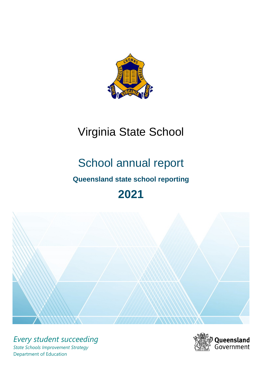

# Virginia State School

# School annual report **Queensland state school reporting 2021**



*Every student succeeding State Schools Improvement Strategy* Department of Education

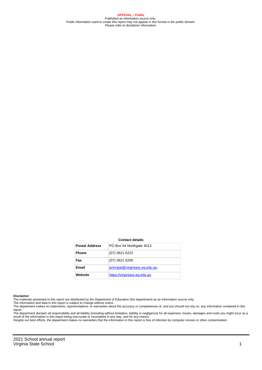**OFFICIAL – Public** Published as information source only. Public information used to create this report may not appear in this format in the public domain Please refer to disclaimer information.

#### **Contact details**

| <b>Postal Address</b> | PO Box 64 Northgate 4013       |
|-----------------------|--------------------------------|
| <b>Phone</b>          | (07) 3621 6222                 |
| Fax                   | $(07)$ 3621 6200               |
| Email                 | principal@virginiass.eq.edu.au |
| Website               | https://virginiass.eg.edu.au   |

#### **Disclaimer**

The materials presented in this report are distributed by the Department of Education (the department) as an information source only.

The information and data in this report is subject to change without notice.<br>The department makes no statements, representations, or warranties about the accuracy or completeness of, and you should not rely on, any informa report. The department disclaim all responsibility and all liability (including without limitation, liability in negligence) for all expenses, losses, damages and costs you might incur as a

result of the information in this report being inaccurate or incomplete in any way, and for any reason. Despite our best efforts, the department makes no warranties that the information in this report is free of infection by computer viruses or other contamination.

2021 School annual report Virginia State School 1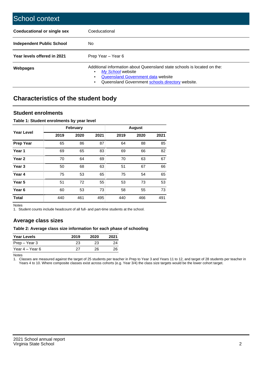| School context                   |                                                                                                                                                                                              |
|----------------------------------|----------------------------------------------------------------------------------------------------------------------------------------------------------------------------------------------|
| Coeducational or single sex      | Coeducational                                                                                                                                                                                |
| <b>Independent Public School</b> | No.                                                                                                                                                                                          |
| Year levels offered in 2021      | Prep Year - Year 6                                                                                                                                                                           |
| Webpages                         | Additional information about Queensland state schools is located on the:<br>My School website<br>Queensland Government data website<br>Queensland Government schools directory website.<br>٠ |

# **Characteristics of the student body**

### **Student enrolments**

### **Table 1: Student enrolments by year level**

|                   |      | <b>February</b> |      |      | <b>August</b> |      |
|-------------------|------|-----------------|------|------|---------------|------|
| <b>Year Level</b> | 2019 | 2020            | 2021 | 2019 | 2020          | 2021 |
| <b>Prep Year</b>  | 65   | 86              | 87   | 64   | 88            | 85   |
| Year 1            | 69   | 65              | 83   | 69   | 66            | 82   |
| Year <sub>2</sub> | 70   | 64              | 69   | 70   | 63            | 67   |
| Year <sub>3</sub> | 50   | 68              | 63   | 51   | 67            | 66   |
| Year 4            | 75   | 53              | 65   | 75   | 54            | 65   |
| Year 5            | 51   | 72              | 55   | 53   | 73            | 53   |
| Year <sub>6</sub> | 60   | 53              | 73   | 58   | 55            | 73   |
| <b>Total</b>      | 440  | 461             | 495  | 440  | 466           | 491  |

Notes

1. Student counts include headcount of all full- and part-time students at the school.

## **Average class sizes**

### **Table 2: Average class size information for each phase of schooling**

| <b>Year Levels</b> | 2019 | 2020 | 2021 |
|--------------------|------|------|------|
| Prep – Year 3      | 23   | 23   | 24   |
| Year 4 – Year 6    | 27   | 26.  | 26   |

Notes

1. Classes are measured against the target of 25 students per teacher in Prep to Year 3 and Years 11 to 12, and target of 28 students per teacher in Years 4 to 10. Where composite classes exist across cohorts (e.g. Year 3/4) the class size targets would be the lower cohort target.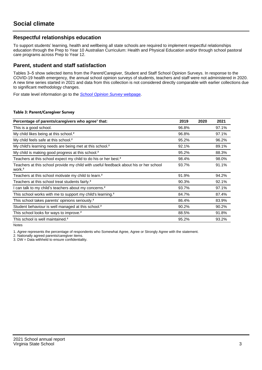### **Respectful relationships education**

To support students' learning, health and wellbeing all state schools are required to implement respectful relationships education through the Prep to Year 10 Australian Curriculum: Health and Physical Education and/or through school pastoral care programs across Prep to Year 12.

### **Parent, student and staff satisfaction**

Tables 3–5 show selected items from the Parent/Caregiver, Student and Staff School Opinion Surveys. In response to the COVID-19 health emergency, the annual school opinion surveys of students, teachers and staff were not administered in 2020. A new time series started in 2021 and data from this collection is not considered directly comparable with earlier collections due to significant methodology changes.

For state level information go to the **[School Opinion Survey](https://qed.qld.gov.au/publications/reports/statistics/schooling/schools/schoolopinionsurvey) webpage**.

### **Table 3: Parent/Caregiver Survey**

| Percentage of parents/caregivers who agree <sup>1</sup> that:                                               | 2019  | 2020 | 2021  |
|-------------------------------------------------------------------------------------------------------------|-------|------|-------|
| This is a good school.                                                                                      | 96.8% |      | 97.1% |
| My child likes being at this school. <sup>2</sup>                                                           | 96.8% |      | 97.1% |
| My child feels safe at this school. <sup>2</sup>                                                            | 95.2% |      | 96.2% |
| My child's learning needs are being met at this school. <sup>2</sup>                                        | 92.1% |      | 89.1% |
| My child is making good progress at this school. <sup>2</sup>                                               | 95.2% |      | 88.3% |
| Teachers at this school expect my child to do his or her best. <sup>2</sup>                                 | 98.4% |      | 98.0% |
| Teachers at this school provide my child with useful feedback about his or her school<br>work. <sup>2</sup> | 93.7% |      | 91.1% |
| Teachers at this school motivate my child to learn. <sup>2</sup>                                            | 91.9% |      | 94.2% |
| Teachers at this school treat students fairly. <sup>2</sup>                                                 | 90.3% |      | 92.1% |
| can talk to my child's teachers about my concerns. <sup>2</sup>                                             | 93.7% |      | 97.1% |
| This school works with me to support my child's learning. <sup>2</sup>                                      | 84.7% |      | 87.4% |
| This school takes parents' opinions seriously. <sup>2</sup>                                                 | 86.4% |      | 83.9% |
| Student behaviour is well managed at this school. <sup>2</sup>                                              | 90.2% |      | 90.2% |
| This school looks for ways to improve. <sup>2</sup>                                                         | 88.5% |      | 91.8% |
| This school is well maintained. <sup>2</sup>                                                                | 95.2% |      | 93.2% |

Notes

1. Agree represents the percentage of respondents who Somewhat Agree, Agree or Strongly Agree with the statement.

2. Nationally agreed parents/caregiver items.

3. DW = Data withheld to ensure confidentiality.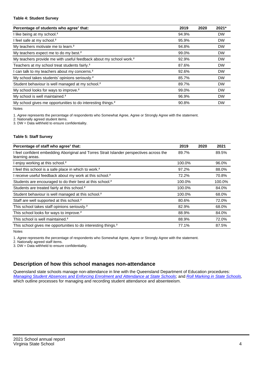### **Table 4: Student Survey**

| Percentage of students who agree <sup>1</sup> that:                            | 2019  | 2020 | 2021*     |
|--------------------------------------------------------------------------------|-------|------|-----------|
| I like being at my school. <sup>2</sup>                                        | 94.9% |      | <b>DW</b> |
| I feel safe at my school. <sup>2</sup>                                         | 95.9% |      | <b>DW</b> |
| My teachers motivate me to learn. <sup>2</sup>                                 | 94.8% |      | <b>DW</b> |
| My teachers expect me to do my best. <sup>2</sup>                              | 99.0% |      | <b>DW</b> |
| My teachers provide me with useful feedback about my school work. <sup>2</sup> | 92.9% |      | <b>DW</b> |
| Teachers at my school treat students fairly. <sup>2</sup>                      | 87.6% |      | <b>DW</b> |
| I can talk to my teachers about my concerns. <sup>2</sup>                      | 92.6% |      | <b>DW</b> |
| My school takes students' opinions seriously. <sup>2</sup>                     | 85.7% |      | <b>DW</b> |
| Student behaviour is well managed at my school. <sup>2</sup>                   | 89.7% |      | <b>DW</b> |
| My school looks for ways to improve. <sup>2</sup>                              | 99.0% |      | <b>DW</b> |
| My school is well maintained. <sup>2</sup>                                     | 96.9% |      | <b>DW</b> |
| My school gives me opportunities to do interesting things. <sup>2</sup>        | 90.8% |      | <b>DW</b> |

Notes

1. Agree represents the percentage of respondents who Somewhat Agree, Agree or Strongly Agree with the statement.

2. Nationally agreed student items.

3. DW = Data withheld to ensure confidentiality.

### **Table 5: Staff Survey**

| Percentage of staff who agree <sup>1</sup> that:                                                            | 2019   | 2020 | 2021   |
|-------------------------------------------------------------------------------------------------------------|--------|------|--------|
| I feel confident embedding Aboriginal and Torres Strait Islander perspectives across the<br>learning areas. | 89.7%  |      | 89.5%  |
| I enjoy working at this school. <sup>2</sup>                                                                | 100.0% |      | 96.0%  |
| I feel this school is a safe place in which to work. <sup>2</sup>                                           | 97.2%  |      | 88.0%  |
| I receive useful feedback about my work at this school. <sup>2</sup>                                        | 72.2%  |      | 70.8%  |
| Students are encouraged to do their best at this school. <sup>2</sup>                                       | 100.0% |      | 100.0% |
| Students are treated fairly at this school. <sup>2</sup>                                                    | 100.0% |      | 84.0%  |
| Student behaviour is well managed at this school. <sup>2</sup>                                              | 100.0% |      | 68.0%  |
| Staff are well supported at this school. <sup>2</sup>                                                       | 80.6%  |      | 72.0%  |
| This school takes staff opinions seriously. <sup>2</sup>                                                    | 82.9%  |      | 68.0%  |
| This school looks for ways to improve. <sup>2</sup>                                                         | 88.9%  |      | 84.0%  |
| This school is well maintained. <sup>2</sup>                                                                | 88.9%  |      | 72.0%  |
| This school gives me opportunities to do interesting things. <sup>2</sup>                                   | 77.1%  |      | 87.5%  |

Notes

1. Agree represents the percentage of respondents who Somewhat Agree, Agree or Strongly Agree with the statement.

2. Nationally agreed staff items.

3. DW = Data withheld to ensure confidentiality.

# **Description of how this school manages non-attendance**

Queensland state schools manage non-attendance in line with the Queensland Department of Education procedures: [Managing Student Absences and Enforcing Enrolment and Attendance at State Schools](https://ppr.qed.qld.gov.au/pp/managing-student-absences-and-enforcing-enrolment-and-attendance-at-state-schools-procedure); and [Roll Marking in State Schools,](https://ppr.qed.qld.gov.au/pp/roll-marking-in-state-schools-procedure) which outline processes for managing and recording student attendance and absenteeism.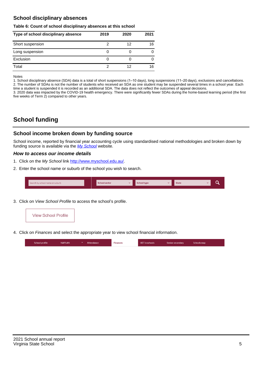## **School disciplinary absences**

### **Table 6: Count of school disciplinary absences at this school**

| Type of school disciplinary absence | 2019 | 2020 | 2021 |
|-------------------------------------|------|------|------|
| Short suspension                    |      | 12   | 16   |
| Long suspension                     | U    |      |      |
| Exclusion                           | U    |      |      |
| Total                               | 2    | 12   | 16   |

Notes

1. School disciplinary absence (SDA) data is a total of short suspensions (1–10 days), long suspensions (11–20 days), exclusions and cancellations. 2. The number of SDAs is not the number of students who received an SDA as one student may be suspended several times in a school year. Each time a student is suspended it is recorded as an additional SDA. The data does not reflect the outcomes of appeal decisions.

3. 2020 data was impacted by the COVID-19 health emergency. There were significantly fewer SDAs during the home-based learning period (the first five weeks of Term 2) compared to other years.

# **School funding**

### **School income broken down by funding source**

School income, reported by financial year accounting cycle using standardised national methodologies and broken down by funding source is available via the [My School](http://www.myschool.edu.au/) website.

### **How to access our income details**

- 1. Click on the My School link <http://www.myschool.edu.au/>.
- 2. Enter the school name or suburb of the school you wish to search.

|  | Search by school name or suburb |  | <b>School sector</b> |  | $\sim$ and $\sim$ represents the set of $\sim$ | <b>State</b> |  |  |  |
|--|---------------------------------|--|----------------------|--|------------------------------------------------|--------------|--|--|--|
|--|---------------------------------|--|----------------------|--|------------------------------------------------|--------------|--|--|--|

3. Click on View School Profile to access the school's profile.



4. Click on Finances and select the appropriate year to view school financial information.

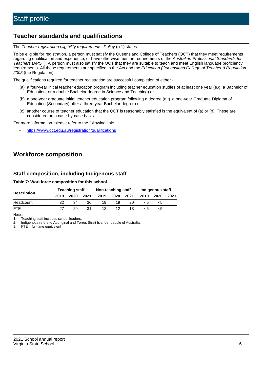# **Teacher standards and qualifications**

The Teacher registration eligibility requirements: Policy (p.1) states:

To be eligible for registration, a person must satisfy the Queensland College of Teachers (QCT) that they meet requirements regarding qualification and experience, or have otherwise met the requirements of the Australian Professional Standards for Teachers (APST). A person must also satisfy the QCT that they are suitable to teach and meet English language proficiency requirements. All these requirements are specified in the Act and the Education (Queensland College of Teachers) Regulation 2005 (the Regulation).

The qualifications required for teacher registration are successful completion of either -

- (a) a four-year initial teacher education program including teacher education studies of at least one year (e.g. a Bachelor of Education, or a double Bachelor degree in Science and Teaching) or
- (b) a one-year graduate initial teacher education program following a degree (e.g. a one-year Graduate Diploma of Education (Secondary) after a three-year Bachelor degree) or
- (c) another course of teacher education that the QCT is reasonably satisfied is the equivalent of (a) or (b). These are considered on a case-by-case basis.

For more information, please refer to the following link:

• <https://www.qct.edu.au/registration/qualifications>

# **Workforce composition**

### **Staff composition, including Indigenous staff**

### **Table 7: Workforce composition for this school**

|                    |      | <b>Teaching staff</b> |      |      | Non-teaching staff |      | Indigenous staff |      |      |  |
|--------------------|------|-----------------------|------|------|--------------------|------|------------------|------|------|--|
| <b>Description</b> | 2019 | 2020                  | 2021 | 2019 | 2020               | 2021 | 2019             | 2020 | 2021 |  |
| Headcount          | 32   | 34                    | 36   | 19   | 19                 | 20   | <5               | <5   |      |  |
| <b>FTE</b>         | 27   | 29                    | 31   | 12   | 12                 | 13   | <5               | ה>   |      |  |

Notes

1. Teaching staff includes school leaders.

2. Indigenous refers to Aboriginal and Torres Strait Islander people of Australia.

3. FTE = full-time equivalent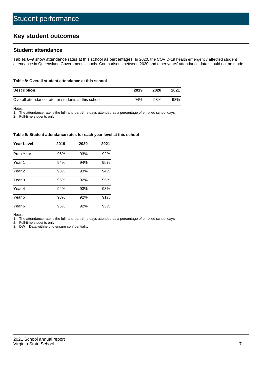# **Key student outcomes**

### **Student attendance**

Tables 8–9 show attendance rates at this school as percentages. In 2020, the COVID-19 health emergency affected student attendance in Queensland Government schools. Comparisons between 2020 and other years' attendance data should not be made.

#### **Table 8: Overall student attendance at this school**

| <b>Description</b>                                  | 2019 | 2020 | 2021 |
|-----------------------------------------------------|------|------|------|
| Overall attendance rate for students at this school | 94%  | 93%  | 93%  |

Notes

1. The attendance rate is the full- and part-time days attended as a percentage of enrolled school days.

2. Full-time students only.

#### **Table 9: Student attendance rates for each year level at this school**

| <b>Year Level</b> | 2019 | 2020 | 2021 |
|-------------------|------|------|------|
| Prep Year         | 96%  | 93%  | 92%  |
| Year <sub>1</sub> | 94%  | 94%  | 95%  |
| Year 2            | 93%  | 93%  | 94%  |
| Year <sub>3</sub> | 95%  | 92%  | 95%  |
| Year 4            | 94%  | 93%  | 93%  |
| Year 5            | 93%  | 92%  | 91%  |
| Year <sub>6</sub> | 95%  | 92%  | 93%  |

Notes

1. The attendance rate is the full- and part-time days attended as a percentage of enrolled school days.<br>2. Full-time students only.

Full-time students only.

3. DW = Data withheld to ensure confidentiality